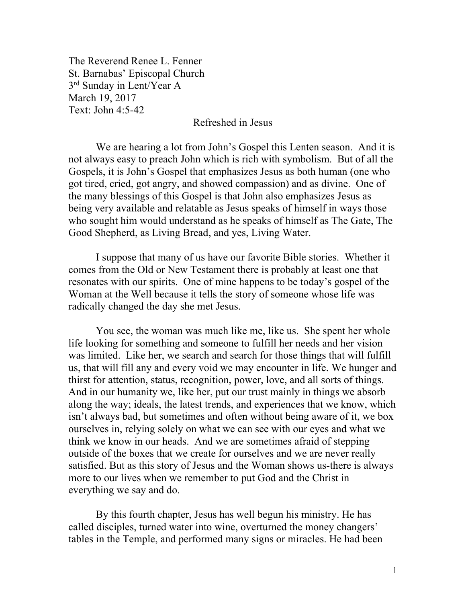The Reverend Renee L. Fenner St. Barnabas' Episcopal Church 3rd Sunday in Lent/Year A March 19, 2017 Text: John 4:5-42

## Refreshed in Jesus

We are hearing a lot from John's Gospel this Lenten season. And it is not always easy to preach John which is rich with symbolism. But of all the Gospels, it is John's Gospel that emphasizes Jesus as both human (one who got tired, cried, got angry, and showed compassion) and as divine. One of the many blessings of this Gospel is that John also emphasizes Jesus as being very available and relatable as Jesus speaks of himself in ways those who sought him would understand as he speaks of himself as The Gate, The Good Shepherd, as Living Bread, and yes, Living Water.

I suppose that many of us have our favorite Bible stories. Whether it comes from the Old or New Testament there is probably at least one that resonates with our spirits. One of mine happens to be today's gospel of the Woman at the Well because it tells the story of someone whose life was radically changed the day she met Jesus.

You see, the woman was much like me, like us. She spent her whole life looking for something and someone to fulfill her needs and her vision was limited. Like her, we search and search for those things that will fulfill us, that will fill any and every void we may encounter in life. We hunger and thirst for attention, status, recognition, power, love, and all sorts of things. And in our humanity we, like her, put our trust mainly in things we absorb along the way; ideals, the latest trends, and experiences that we know, which isn't always bad, but sometimes and often without being aware of it, we box ourselves in, relying solely on what we can see with our eyes and what we think we know in our heads. And we are sometimes afraid of stepping outside of the boxes that we create for ourselves and we are never really satisfied. But as this story of Jesus and the Woman shows us-there is always more to our lives when we remember to put God and the Christ in everything we say and do.

By this fourth chapter, Jesus has well begun his ministry. He has called disciples, turned water into wine, overturned the money changers' tables in the Temple, and performed many signs or miracles. He had been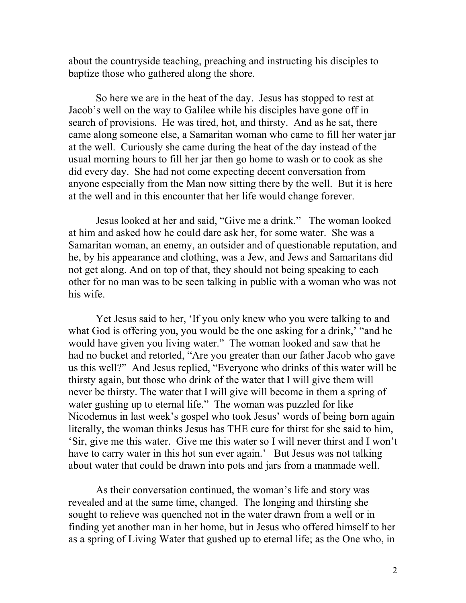about the countryside teaching, preaching and instructing his disciples to baptize those who gathered along the shore.

So here we are in the heat of the day. Jesus has stopped to rest at Jacob's well on the way to Galilee while his disciples have gone off in search of provisions. He was tired, hot, and thirsty. And as he sat, there came along someone else, a Samaritan woman who came to fill her water jar at the well. Curiously she came during the heat of the day instead of the usual morning hours to fill her jar then go home to wash or to cook as she did every day. She had not come expecting decent conversation from anyone especially from the Man now sitting there by the well. But it is here at the well and in this encounter that her life would change forever.

Jesus looked at her and said, "Give me a drink." The woman looked at him and asked how he could dare ask her, for some water. She was a Samaritan woman, an enemy, an outsider and of questionable reputation, and he, by his appearance and clothing, was a Jew, and Jews and Samaritans did not get along. And on top of that, they should not being speaking to each other for no man was to be seen talking in public with a woman who was not his wife.

 Yet Jesus said to her, 'If you only knew who you were talking to and what God is offering you, you would be the one asking for a drink,' "and he would have given you living water." The woman looked and saw that he had no bucket and retorted, "Are you greater than our father Jacob who gave us this well?" And Jesus replied, "Everyone who drinks of this water will be thirsty again, but those who drink of the water that I will give them will never be thirsty. The water that I will give will become in them a spring of water gushing up to eternal life." The woman was puzzled for like Nicodemus in last week's gospel who took Jesus' words of being born again literally, the woman thinks Jesus has THE cure for thirst for she said to him, 'Sir, give me this water. Give me this water so I will never thirst and I won't have to carry water in this hot sun ever again.' But Jesus was not talking about water that could be drawn into pots and jars from a manmade well.

 As their conversation continued, the woman's life and story was revealed and at the same time, changed. The longing and thirsting she sought to relieve was quenched not in the water drawn from a well or in finding yet another man in her home, but in Jesus who offered himself to her as a spring of Living Water that gushed up to eternal life; as the One who, in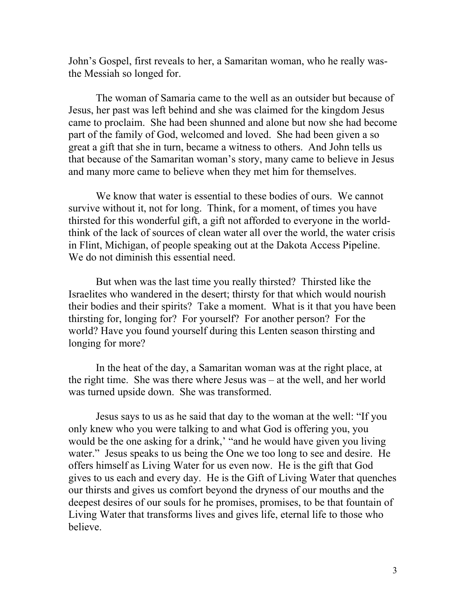John's Gospel, first reveals to her, a Samaritan woman, who he really wasthe Messiah so longed for.

The woman of Samaria came to the well as an outsider but because of Jesus, her past was left behind and she was claimed for the kingdom Jesus came to proclaim. She had been shunned and alone but now she had become part of the family of God, welcomed and loved. She had been given a so great a gift that she in turn, became a witness to others. And John tells us that because of the Samaritan woman's story, many came to believe in Jesus and many more came to believe when they met him for themselves.

We know that water is essential to these bodies of ours. We cannot survive without it, not for long. Think, for a moment, of times you have thirsted for this wonderful gift, a gift not afforded to everyone in the worldthink of the lack of sources of clean water all over the world, the water crisis in Flint, Michigan, of people speaking out at the Dakota Access Pipeline. We do not diminish this essential need.

But when was the last time you really thirsted? Thirsted like the Israelites who wandered in the desert; thirsty for that which would nourish their bodies and their spirits? Take a moment. What is it that you have been thirsting for, longing for? For yourself? For another person? For the world? Have you found yourself during this Lenten season thirsting and longing for more?

In the heat of the day, a Samaritan woman was at the right place, at the right time. She was there where Jesus was – at the well, and her world was turned upside down. She was transformed.

Jesus says to us as he said that day to the woman at the well: "If you only knew who you were talking to and what God is offering you, you would be the one asking for a drink,' "and he would have given you living water." Jesus speaks to us being the One we too long to see and desire. He offers himself as Living Water for us even now. He is the gift that God gives to us each and every day. He is the Gift of Living Water that quenches our thirsts and gives us comfort beyond the dryness of our mouths and the deepest desires of our souls for he promises, promises, to be that fountain of Living Water that transforms lives and gives life, eternal life to those who believe.